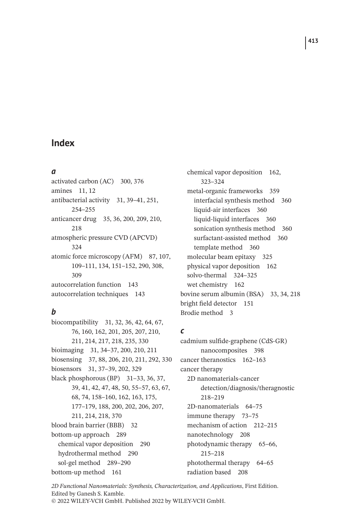#### *a*

activated carbon (AC) 300, 376 amines 11, 12 antibacterial activity 31, 39–41, 251, 254–255 anticancer drug 35, 36, 200, 209, 210, 218 atmospheric pressure CVD (APCVD) 324 atomic force microscopy (AFM) 87, 107, 109–111, 134, 151–152, 290, 308, 309 autocorrelation function 143 autocorrelation techniques 143

# *b*

biocompatibility 31, 32, 36, 42, 64, 67, 76, 160, 162, 201, 205, 207, 210, 211, 214, 217, 218, 235, 330 bioimaging 31, 34–37, 200, 210, 211 biosensing 37, 88, 206, 210, 211, 292, 330 biosensors 31, 37–39, 202, 329 black phosphorous (BP) 31–33, 36, 37, 39, 41, 42, 47, 48, 50, 55–57, 63, 67, 68, 74, 158–160, 162, 163, 175, 177–179, 188, 200, 202, 206, 207, 211, 214, 218, 370 blood brain barrier (BBB) 32 bottom-up approach 289 chemical vapor deposition 290 hydrothermal method 290 sol-gel method 289–290 bottom-up method 161

chemical vapor deposition 162, 323–324 metal-organic frameworks 359 interfacial synthesis method 360 liquid-air interfaces 360 liquid-liquid interfaces 360 sonication synthesis method 360 surfactant-assisted method 360 template method 360 molecular beam epitaxy 325 physical vapor deposition 162 solvo-thermal 324–325 wet chemistry 162 bovine serum albumin (BSA) 33, 34, 218 bright field detector 151 Brodie method 3

## *c*

cadmium sulfide-graphene (CdS-GR) nanocomposites 398 cancer theranostics 162–163 cancer therapy 2D nanomaterials-cancer detection/diagnosis/theragnostic 218–219 2D-nanomaterials 64–75 immune therapy 73–75 mechanism of action 212–215 nanotechnology 208 photodynamic therapy 65–66, 215–218 photothermal therapy 64–65 radiation based 208

*2D Functional Nanomaterials: Synthesis, Characterization, and Applications*, First Edition. Edited by Ganesh S. Kamble. © 2022 WILEY-VCH GmbH. Published 2022 by WILEY-VCH GmbH.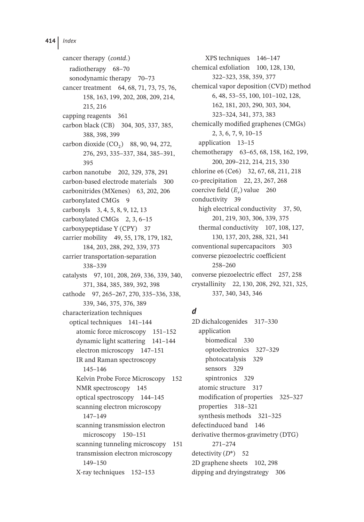cancer therapy (*contd*.) radiotherapy 68–70 sonodynamic therapy 70–73 cancer treatment 64, 68, 71, 73, 75, 76, 158, 163, 199, 202, 208, 209, 214, 215, 216 capping reagents 361 carbon black (CB) 304, 305, 337, 385, 388, 398, 399 carbon dioxide  $(CO_2)$  88, 90, 94, 272, 276, 293, 335–337, 384, 385–391, 395 carbon nanotube 202, 329, 378, 291 carbon-based electrode materials 300 carbonitrides (MXenes) 63, 202, 206 carbonylated CMGs 9 carbonyls 3, 4, 5, 8, 9, 12, 13 carboxylated CMGs 2, 3, 6–15 carboxypeptidase Y (CPY) 37 carrier mobility 49, 55, 178, 179, 182, 184, 203, 288, 292, 339, 373 carrier transportation-separation 338–339 catalysts 97, 101, 208, 269, 336, 339, 340, 371, 384, 385, 389, 392, 398 cathode 97, 265–267, 270, 335–336, 338, 339, 346, 375, 376, 389 characterization techniques optical techniques 141–144 atomic force microscopy 151–152 dynamic light scattering 141–144 electron microscopy 147–151 IR and Raman spectroscopy 145–146 Kelvin Probe Force Microscopy 152 NMR spectroscopy 145 optical spectroscopy 144–145 scanning electron microscopy 147–149 scanning transmission electron microscopy 150–151 scanning tunneling microscopy 151 transmission electron microscopy 149–150 X-ray techniques 152–153

XPS techniques 146–147 chemical exfoliation 100, 128, 130, 322–323, 358, 359, 377 chemical vapor deposition (CVD) method 6, 48, 53–55, 100, 101–102, 128, 162, 181, 203, 290, 303, 304, 323–324, 341, 373, 383 chemically modified graphenes (CMGs) 2, 3, 6, 7, 9, 10–15 application 13–15 chemotherapy 63–65, 68, 158, 162, 199, 200, 209–212, 214, 215, 330 chlorine e6 (Ce6) 32, 67, 68, 211, 218 co-precipitation 22, 23, 267, 268 coercive field  $(E_r)$  value 260 conductivity 39 high electrical conductivity 37, 50, 201, 219, 303, 306, 339, 375 thermal conductivity 107, 108, 127, 130, 137, 203, 288, 321, 341 conventional supercapacitors 303 converse piezoelectric coefficient 258–260 converse piezoelectric effect 257, 258 crystallinity 22, 130, 208, 292, 321, 325, 337, 340, 343, 346

# *d*

2D dichalcogenides 317–330 application biomedical 330 optoelectronics 327–329 photocatalysis 329 sensors 329 spintronics 329 atomic structure 317 modification of properties 325–327 properties 318–321 synthesis methods 321–325 defectinduced band 146 derivative thermos-gravimetry (DTG) 271–274 detectivity (*D*\*) 52 2D graphene sheets 102, 298 dipping and dryingstrategy 306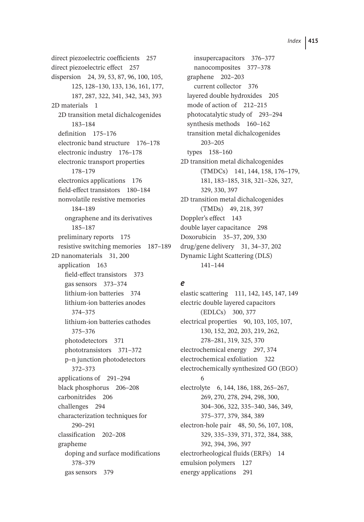direct piezoelectric coefficients 257 direct piezoelectric effect 257 dispersion 24, 39, 53, 87, 96, 100, 105, 125, 128–130, 133, 136, 161, 177, 187, 287, 322, 341, 342, 343, 393 2D materials 1 2D transition metal dichalcogenides 183–184 definition 175–176 electronic band structure 176–178 electronic industry 176–178 electronic transport properties 178–179 electronics applications 176 field-effect transistors 180–184 nonvolatile resistive memories 184–189 ongraphene and its derivatives 185–187 preliminary reports 175 resistive switching memories 187–189 2D nanomaterials 31, 200 application 163 field-effect transistors 373 gas sensors 373–374 lithium-ion batteries 374 lithium-ion batteries anodes 374–375 lithium-ion batteries cathodes 375–376 photodetectors 371 phototransistors 371–372 p–n junction photodetectors 372–373 applications of 291–294 black phosphorus 206–208 carbonitrides 206 challenges 294 characterization techniques for 290–291 classification 202–208 grapheme doping and surface modifications 378–379 gas sensors 379

insupercapacitors 376–377 nanocomposites 377–378 graphene 202–203 current collector 376 layered double hydroxides 205 mode of action of 212–215 photocatalytic study of 293–294 synthesis methods 160–162 transition metal dichalcogenides 203–205 types 158–160 2D transition metal dichalcogenides (TMDCs) 141, 144, 158, 176–179, 181, 183–185, 318, 321–326, 327, 329, 330, 397 2D transition metal dichalcogenides (TMDs) 49, 218, 397 Doppler's effect 143 double layer capacitance 298 Doxorubicin 35–37, 209, 330 drug/gene delivery 31, 34–37, 202 Dynamic Light Scattering (DLS) 141–144

## *e*

elastic scattering 111, 142, 145, 147, 149 electric double layered capacitors (EDLCs) 300, 377 electrical properties 90, 103, 105, 107, 130, 152, 202, 203, 219, 262, 278–281, 319, 325, 370 electrochemical energy 297, 374 electrochemical exfoliation 322 electrochemically synthesized GO (EGO) 6 electrolyte 6, 144, 186, 188, 265–267, 269, 270, 278, 294, 298, 300, 304–306, 322, 335–340, 346, 349, 375–377, 379, 384, 389 electron-hole pair 48, 50, 56, 107, 108, 329, 335–339, 371, 372, 384, 388, 392, 394, 396, 397 electrorheological fluids (ERFs) 14 emulsion polymers 127 energy applications 291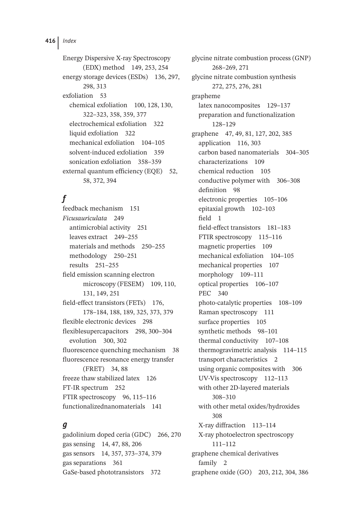Energy Dispersive X-ray Spectroscopy (EDX) method 149, 253, 254 energy storage devices (ESDs) 136, 297, 298, 313 exfoliation 53 chemical exfoliation 100, 128, 130, 322–323, 358, 359, 377 electrochemical exfoliation 322 liquid exfoliation 322 mechanical exfoliation 104–105 solvent-induced exfoliation 359 sonication exfoliation 358–359 external quantum efficiency (EQE) 52, 58, 372, 394

# *f*

feedback mechanism 151 *Ficusauriculata* 249 antimicrobial activity 251 leaves extract 249–255 materials and methods 250–255 methodology 250–251 results 251–255 field emission scanning electron microscopy (FESEM) 109, 110, 131, 149, 251 field-effect transistors (FETs) 176, 178–184, 188, 189, 325, 373, 379 flexible electronic devices 298 flexiblesupercapacitors 298, 300–304 evolution 300, 302 fluorescence quenching mechanism 38 fluorescence resonance energy transfer (FRET) 34, 88 freeze thaw stabilized latex 126 FT-IR spectrum 252 FTIR spectroscopy 96, 115–116 functionalizednanomaterials 141

## *g*

gadolinium doped ceria (GDC) 266, 270 gas sensing 14, 47, 88, 206 gas sensors 14, 357, 373–374, 379 gas separations 361 GaSe-based phototransistors 372

glycine nitrate combustion process (GNP) 268–269, 271 glycine nitrate combustion synthesis 272, 275, 276, 281 grapheme latex nanocomposites 129–137 preparation and functionalization 128–129 graphene 47, 49, 81, 127, 202, 385 application 116, 303 carbon based nanomaterials 304–305 characterizations 109 chemical reduction 105 conductive polymer with 306–308 definition 98 electronic properties 105–106 epitaxial growth 102–103 field 1 field-effect transistors 181–183 FTIR spectroscopy 115–116 magnetic properties 109 mechanical exfoliation 104–105 mechanical properties 107 morphology 109–111 optical properties 106–107 PEC 340 photo-catalytic properties 108–109 Raman spectroscopy 111 surface properties 105 synthetic methods 98–101 thermal conductivity 107–108 thermogravimetric analysis 114–115 transport characteristics 2 using organic composites with 306 UV-Vis spectroscopy 112–113 with other 2D-layered materials 308–310 with other metal oxides/hydroxides 308 X-ray diffraction 113–114 X-ray photoelectron spectroscopy 111–112 graphene chemical derivatives family 2 graphene oxide (GO) 203, 212, 304, 386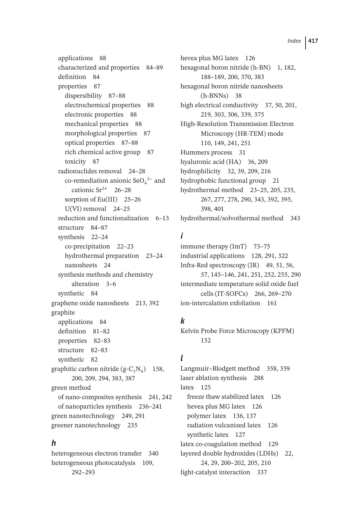applications 88 characterized and properties 84–89 definition 84 properties 87 dispersibility 87–88 electrochemical properties 88 electronic properties 88 mechanical properties 88 morphological properties 87 optical properties 87–88 rich chemical active group 87 toxicity 87 radionuclides removal 24–28 co-remediation anionic  $\text{SeO}_4^2$  and cationic  $Sr^{2+}$  26–28 sorption of Eu(III) 25-26 U(VI) removal 24–25 reduction and functionalization 6–13 structure 84–87 synthesis 22–24 co-precipitation 22–23 hydrothermal preparation 23–24 nanosheets 24 synthesis methods and chemistry alteration 3–6 synthetic 84 graphene oxide nanosheets 213, 392 graphite applications 84 definition 81–82 properties 82–83 structure 82–83 synthetic 82 graphitic carbon nitride  $(g-C_3N_4)$  158, 200, 209, 294, 383, 387 green method of nano-composites synthesis 241, 242 of nanoparticles synthesis 236–241 green nanotechnology 249, 291 greener nanotechnology 235

## *h*

heterogeneous electron transfer 340 heterogeneous photocatalysis 109, 292–293

hevea plus MG latex 126 hexagonal boron nitride (h-BN) 1, 182, 188–189, 200, 370, 383 hexagonal boron nitride nanosheets (h-BNNs) 38 high electrical conductivity 37, 50, 201, 219, 303, 306, 339, 375 High-Resolution Transmission Electron Microscopy (HR-TEM) mode 110, 149, 241, 251 Hummers process 31 hyaluronic acid (HA) 36, 209 hydrophilicity 32, 39, 209, 216 hydrophobic functional group 21 hydrothermal method 23–25, 205, 235, 267, 277, 278, 290, 343, 392, 395, 398, 401 hydrothermal/solvothermal method 343

# *i*

immune therapy (ImT) 73-75 industrial applications 128, 291, 322 Infra-Red spectroscopy (IR) 49, 51, 56, 57, 145–146, 241, 251, 252, 255, 290 intermediate temperature solid oxide fuel cells (IT-SOFCs) 266, 269–270 ion-intercalation exfoliation 161

# *k*

Kelvin Probe Force Microscopy (KPFM) 152

# *l*

Langmuir–Blodgett method 358, 359 laser ablation synthesis 288 latex 125 freeze thaw stabilized latex 126 hevea plus MG latex 126 polymer latex 136, 137 radiation vulcanized latex 126 synthetic latex 127 latex co-coagulation method 129 layered double hydroxides (LDHs) 22, 24, 29, 200–202, 205, 210 light-catalyst interaction 337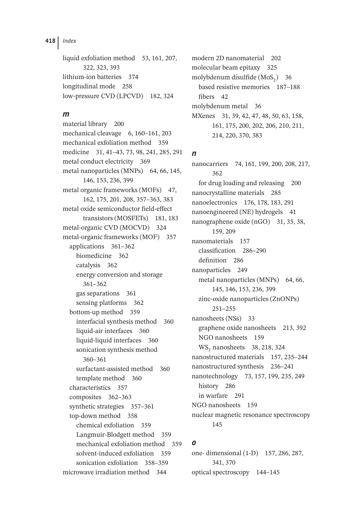liquid exfoliation method 53, 161, 207, 322, 323, 393 lithium-ion batteries 374 longitudinal mode 258 low-pressure CVD (LPCVD) 182, 324

#### *m*

material library 200 mechanical cleavage 6, 160–161, 203 mechanical exfoliation method 359 medicine 31, 41–43, 73, 98, 241, 285, 291 metal conduct electricity 369 metal nanoparticles (MNPs) 64, 66, 145, 146, 153, 236, 399 metal organic frameworks (MOFs) 47, 162, 175, 201, 208, 357–363, 383 metal oxide semiconductor field-effect transistors (MOSFETs) 181, 183 metal-organic CVD (MOCVD) 324 metal-organic frameworks (MOF) 357 applications 361–362 biomedicine 362 catalysis 362 energy conversion and storage 361–362 gas separations 361 sensing platforms 362 bottom-up method 359 interfacial synthesis method 360 liquid-air interfaces 360 liquid-liquid interfaces 360 sonication synthesis method 360–361 surfactant-assisted method 360 template method 360 characteristics 357 composites 362–363 synthetic strategies 357–361 top-down method 358 chemical exfoliation 359 Langmuir-Blodgett method 359 mechanical exfoliation method 359 solvent-induced exfoliation 359 sonication exfoliation 358–359 microwave irradiation method 344

modern 2D nanomaterial 202 molecular beam epitaxy 325 molybdenum disulfide  $(MoS<sub>2</sub>)$  36 based resistive memories 187–188 fibers 42 molybdenum metal 36 MXenes 31, 39, 42, 47, 48, 50, 63, 158, 161, 175, 200, 202, 206, 210, 211, 214, 220, 370, 383

## *n*

nanocarriers 74, 161, 199, 200, 208, 217, 362 for drug loading and releasing 200 nanocrystalline materials 285 nanoelectronics 176, 178, 183, 291 nanoengineered (NE) hydrogels 41 nanographene oxide (nGO) 31, 35, 38, 159, 209 nanomaterials 157 classification 286–290 definition 286 nanoparticles 249 metal nanoparticles (MNPs) 64, 66, 145, 146, 153, 236, 399 zinc-oxide nanoparticles (ZnONPs) 251–255 nanosheets (NSs) 33 graphene oxide nanosheets 213, 392 NGO nanosheets 159 WS<sub>2</sub> nanosheets 38, 218, 324 nanostructured materials 157, 235–244 nanostructured synthesis 236–241 nanotechnology 73, 157, 199, 235, 249 history 286 in warfare 291 NGO nanosheets 159 nuclear magnetic resonance spectroscopy 145

## *o*

one- dimensional (1-D) 157, 286, 287, 341, 370 optical spectroscopy 144–145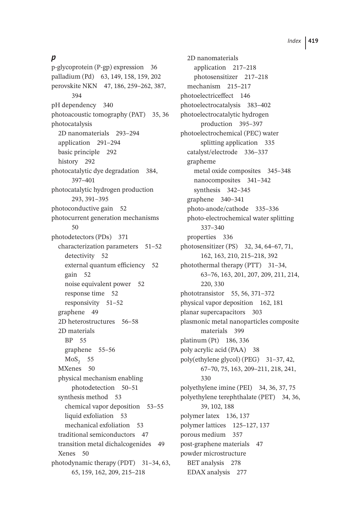# *p*

p-glycoprotein (P-gp) expression 36 palladium (Pd) 63, 149, 158, 159, 202 perovskite NKN 47, 186, 259–262, 387, 394 pH dependency 340 photoacoustic tomography (PAT) 35, 36 photocatalysis 2D nanomaterials 293–294 application 291–294 basic principle 292 history 292 photocatalytic dye degradation 384, 397–401 photocatalytic hydrogen production 293, 391–395 photoconductive gain 52 photocurrent generation mechanisms 50 photodetectors (PDs) 371 characterization parameters 51–52 detectivity 52 external quantum efficiency 52 gain 52 noise equivalent power 52 response time 52 responsivity 51–52 graphene 49 2D heterostructures 56–58 2D materials BP 55 graphene 55–56  $MoS<sub>2</sub> 55$ MXenes 50 physical mechanism enabling photodetection 50–51 synthesis method 53 chemical vapor deposition 53–55 liquid exfoliation 53 mechanical exfoliation 53 traditional semiconductors 47 transition metal dichalcogenides 49 Xenes 50 photodynamic therapy (PDT) 31–34, 63, 65, 159, 162, 209, 215–218

2D nanomaterials application 217–218 photosensitizer 217–218 mechanism 215–217 photoelectriceffect 146 photoelectrocatalysis 383–402 photoelectrocatalytic hydrogen production 395–397 photoelectrochemical (PEC) water splitting application 335 catalyst/electrode 336–337 grapheme metal oxide composites 345–348 nanocomposites 341–342 synthesis 342–345 graphene 340–341 photo-anode/cathode 335–336 photo-electrochemical water splitting 337–340 properties 336 photosensitizer (PS) 32, 34, 64–67, 71, 162, 163, 210, 215–218, 392 photothermal therapy (PTT) 31–34, 63–76, 163, 201, 207, 209, 211, 214, 220, 330 phototransistor 55, 56, 371–372 physical vapor deposition 162, 181 planar supercapacitors 303 plasmonic metal nanoparticles composite materials 399 platinum (Pt) 186, 336 poly acrylic acid (PAA) 38 poly(ethylene glycol) (PEG) 31–37, 42, 67–70, 75, 163, 209–211, 218, 241, 330 polyethylene imine (PEI) 34, 36, 37, 75 polyethylene terephthalate (PET) 34, 36, 39, 102, 188 polymer latex 136, 137 polymer lattices 125–127, 137 porous medium 357 post-graphene materials 47 powder microstructure BET analysis 278 EDAX analysis 277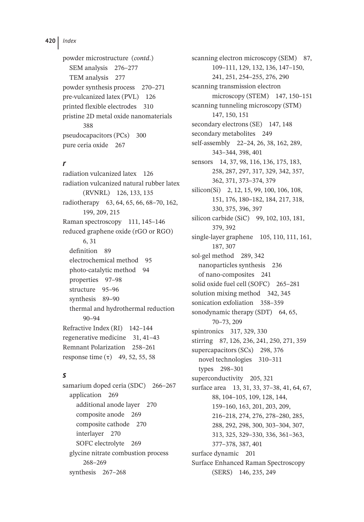powder microstructure (*contd*.) SEM analysis 276–277 TEM analysis 277 powder synthesis process 270–271 pre-vulcanized latex (PVL) 126 printed flexible electrodes 310 pristine 2D metal oxide nanomaterials 388 pseudocapacitors (PCs) 300 pure ceria oxide 267

# *r*

radiation vulcanized latex 126 radiation vulcanized natural rubber latex (RVNRL) 126, 133, 135 radiotherapy 63, 64, 65, 66, 68–70, 162, 199, 209, 215 Raman spectroscopy 111, 145–146 reduced graphene oxide (rGO or RGO) 6, 31 definition 89 electrochemical method 95 photo-catalytic method 94 properties 97–98 structure 95–96 synthesis 89–90 thermal and hydrothermal reduction 90–94 Refractive Index (RI) 142–144 regenerative medicine 31, 41–43 Remnant Polarization 258–261 response time (τ) 49, 52, 55, 58

## *s*

samarium doped ceria (SDC) 266–267 application 269 additional anode layer 270 composite anode 269 composite cathode 270 interlayer 270 SOFC electrolyte 269 glycine nitrate combustion process 268–269 synthesis 267–268

scanning electron microscopy (SEM) 87, 109–111, 129, 132, 136, 147–150, 241, 251, 254–255, 276, 290 scanning transmission electron microscopy (STEM) 147, 150–151 scanning tunneling microscopy (STM) 147, 150, 151 secondary electrons (SE) 147, 148 secondary metabolites 249 self-assembly 22–24, 26, 38, 162, 289, 343–344, 398, 401 sensors 14, 37, 98, 116, 136, 175, 183, 258, 287, 297, 317, 329, 342, 357, 362, 371, 373–374, 379 silicon(Si) 2, 12, 15, 99, 100, 106, 108, 151, 176, 180–182, 184, 217, 318, 330, 375, 396, 397 silicon carbide (SiC) 99, 102, 103, 181, 379, 392 single-layer graphene 105, 110, 111, 161, 187, 307 sol-gel method 289, 342 nanoparticles synthesis 236 of nano-composites 241 solid oxide fuel cell (SOFC) 265–281 solution mixing method 342, 345 sonication exfoliation 358–359 sonodynamic therapy (SDT) 64, 65, 70–73, 209 spintronics 317, 329, 330 stirring 87, 126, 236, 241, 250, 271, 359 supercapacitors (SCs) 298, 376 novel technologies 310–311 types 298–301 superconductivity 205, 321 surface area 13, 31, 33, 37-38, 41, 64, 67, 88, 104–105, 109, 128, 144, 159–160, 163, 201, 203, 209, 216–218, 274, 276, 278–280, 285, 288, 292, 298, 300, 303–304, 307, 313, 325, 329–330, 336, 361–363, 377–378, 387, 401 surface dynamic 201 Surface Enhanced Raman Spectroscopy (SERS) 146, 235, 249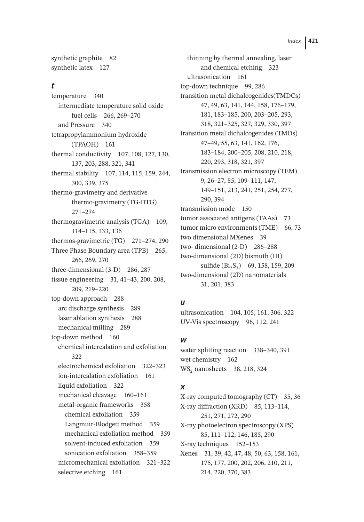synthetic graphite 82 synthetic latex 127

#### *t*

temperature 340 intermediate temperature solid oxide fuel cells 266, 269–270 and Pressure 340 tetrapropylammonium hydroxide (TPAOH) 161 thermal conductivity 107, 108, 127, 130, 137, 203, 288, 321, 341 thermal stability 107, 114, 115, 159, 244, 300, 339, 375 thermo-gravimetry and derivative thermo-gravimetry (TG-DTG) 271–274 thermogravimetric analysis (TGA) 109, 114–115, 133, 136 thermos-gravimetric (TG) 271–274, 290 Three Phase Boundary area (TPB) 265, 266, 269, 270 three-dimensional (3-D) 286, 287 tissue engineering 31, 41–43, 200, 208, 209, 219–220 top-down approach 288 arc discharge synthesis 289 laser ablation synthesis 288 mechanical milling 289 top-down method 160 chemical intercalation and exfoliation  $322$ electrochemical exfoliation 322–323 ion-intercalation exfoliation 161 liquid exfoliation 322 mechanical cleavage 160–161 metal-organic frameworks 358 chemical exfoliation 359 Langmuir-Blodgett method 359 mechanical exfoliation method 359 solvent-induced exfoliation 359 sonication exfoliation 358–359 micromechanical exfoliation 321–322 selective etching 161

thinning by thermal annealing, laser and chemical etching 323 ultrasonication 161 top-down technique 99, 286 transition metal dichalcogenides(TMDCs) 47, 49, 63, 141, 144, 158, 176–179, 181, 183–185, 200, 203–205, 293, 318, 321–325, 327, 329, 330, 397 transition metal dichalcogenides (TMDs) 47–49, 55, 63, 141, 162, 176, 183–184, 200–205, 208, 210, 218, 220, 293, 318, 321, 397 transmission electron microscopy (TEM) 9, 26–27, 85, 109–111, 147, 149–151, 213, 241, 251, 254, 277, 290, 394 transmission mode 150 tumor associated antigens (TAAs) 73 tumor micro environments (TME) 66, 73 two dimensional MXenes 39 two- dimensional (2-D) 286–288 two-dimensional (2D) bismuth (III) sulfide  $(Bi_2S_3)$  69, 158, 159, 209 two-dimensional (2D) nanomaterials 31, 201, 383

#### *u*

ultrasonication 104, 105, 161, 306, 322 UV-Vis spectroscopy 96, 112, 241

#### *w*

water splitting reaction 338–340, 391 wet chemistry 162 WS<sub>2</sub> nanosheets 38, 218, 324

#### *x*

X-ray computed tomography (CT) 35, 36 X-ray diffraction (XRD) 85, 113–114, 251, 271, 272, 290 X-ray photoelectron spectroscopy (XPS) 85, 111–112, 146, 185, 290 X-ray techniques 152–153 Xenes 31, 39, 42, 47, 48, 50, 63, 158, 161, 175, 177, 200, 202, 206, 210, 211, 214, 220, 370, 383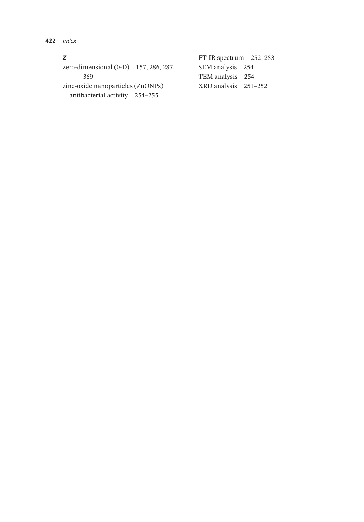# *z*

zero-dimensional (0-D) 157, 286, 287, 369 zinc-oxide nanoparticles (ZnONPs) antibacterial activity 254–255 SEM analysis 254 TEM analysis 254 XRD analysis 251–252

FT-IR spectrum 252–253